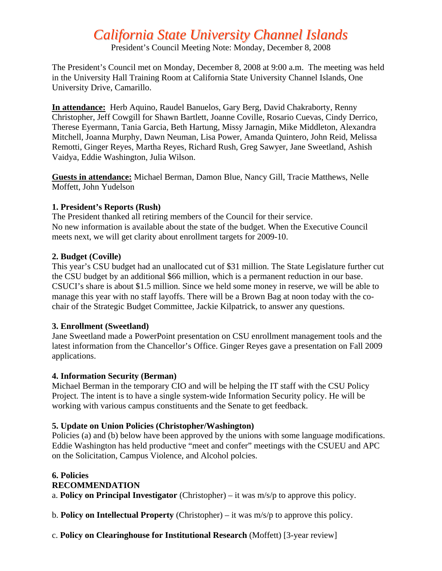# *California State University Channel Islands*

President's Council Meeting Note: Monday, December 8, 2008

The President's Council met on Monday, December 8, 2008 at 9:00 a.m. The meeting was held in the University Hall Training Room at California State University Channel Islands, One University Drive, Camarillo.

**In attendance:** Herb Aquino, Raudel Banuelos, Gary Berg, David Chakraborty, Renny Christopher, Jeff Cowgill for Shawn Bartlett, Joanne Coville, Rosario Cuevas, Cindy Derrico, Therese Eyermann, Tania Garcia, Beth Hartung, Missy Jarnagin, Mike Middleton, Alexandra Mitchell, Joanna Murphy, Dawn Neuman, Lisa Power, Amanda Quintero, John Reid, Melissa Remotti, Ginger Reyes, Martha Reyes, Richard Rush, Greg Sawyer, Jane Sweetland, Ashish Vaidya, Eddie Washington, Julia Wilson.

**Guests in attendance:** Michael Berman, Damon Blue, Nancy Gill, Tracie Matthews, Nelle Moffett, John Yudelson

## **1. President's Reports (Rush)**

The President thanked all retiring members of the Council for their service. No new information is available about the state of the budget. When the Executive Council meets next, we will get clarity about enrollment targets for 2009-10.

## **2. Budget (Coville)**

This year's CSU budget had an unallocated cut of \$31 million. The State Legislature further cut the CSU budget by an additional \$66 million, which is a permanent reduction in our base. CSUCI's share is about \$1.5 million. Since we held some money in reserve, we will be able to manage this year with no staff layoffs. There will be a Brown Bag at noon today with the cochair of the Strategic Budget Committee, Jackie Kilpatrick, to answer any questions.

## **3. Enrollment (Sweetland)**

Jane Sweetland made a PowerPoint presentation on CSU enrollment management tools and the latest information from the Chancellor's Office. Ginger Reyes gave a presentation on Fall 2009 applications.

## **4. Information Security (Berman)**

Michael Berman in the temporary CIO and will be helping the IT staff with the CSU Policy Project*.* The intent is to have a single system-wide Information Security policy. He will be working with various campus constituents and the Senate to get feedback.

## **5. Update on Union Policies (Christopher/Washington)**

Policies (a) and (b) below have been approved by the unions with some language modifications. Eddie Washington has held productive "meet and confer" meetings with the CSUEU and APC on the Solicitation, Campus Violence, and Alcohol polcies.

#### **6. Policies RECOMMENDATION**  a. **Policy on Principal Investigator** (Christopher) – it was m/s/p to approve this policy.

b. **Policy on Intellectual Property** (Christopher) – it was m/s/p to approve this policy.

c. **Policy on Clearinghouse for Institutional Research** (Moffett) [3-year review]